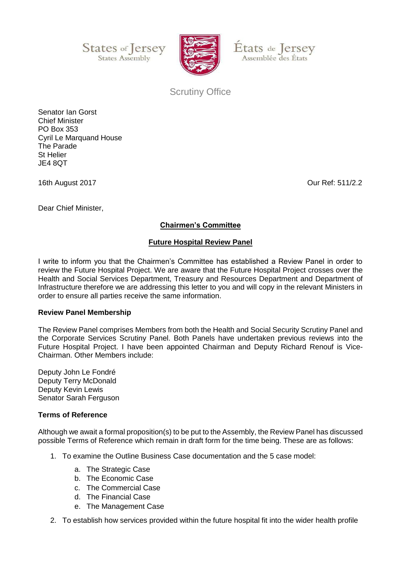





Scrutiny Office

Senator Ian Gorst Chief Minister PO Box 353 Cyril Le Marquand House The Parade St Helier JE4 8QT

16th August 2017 Our Ref: 511/2.2

Dear Chief Minister,

**Chairmen's Committee**

## **Future Hospital Review Panel**

I write to inform you that the Chairmen's Committee has established a Review Panel in order to review the Future Hospital Project. We are aware that the Future Hospital Project crosses over the Health and Social Services Department, Treasury and Resources Department and Department of Infrastructure therefore we are addressing this letter to you and will copy in the relevant Ministers in order to ensure all parties receive the same information.

## **Review Panel Membership**

The Review Panel comprises Members from both the Health and Social Security Scrutiny Panel and the Corporate Services Scrutiny Panel. Both Panels have undertaken previous reviews into the Future Hospital Project. I have been appointed Chairman and Deputy Richard Renouf is Vice-Chairman. Other Members include:

Deputy John Le Fondré Deputy Terry McDonald Deputy Kevin Lewis Senator Sarah Ferguson

## **Terms of Reference**

Although we await a formal proposition(s) to be put to the Assembly, the Review Panel has discussed possible Terms of Reference which remain in draft form for the time being. These are as follows:

- 1. To examine the Outline Business Case documentation and the 5 case model:
	- a. The Strategic Case
	- b. The Economic Case
	- c. The Commercial Case
	- d. The Financial Case
	- e. The Management Case
- 2. To establish how services provided within the future hospital fit into the wider health profile